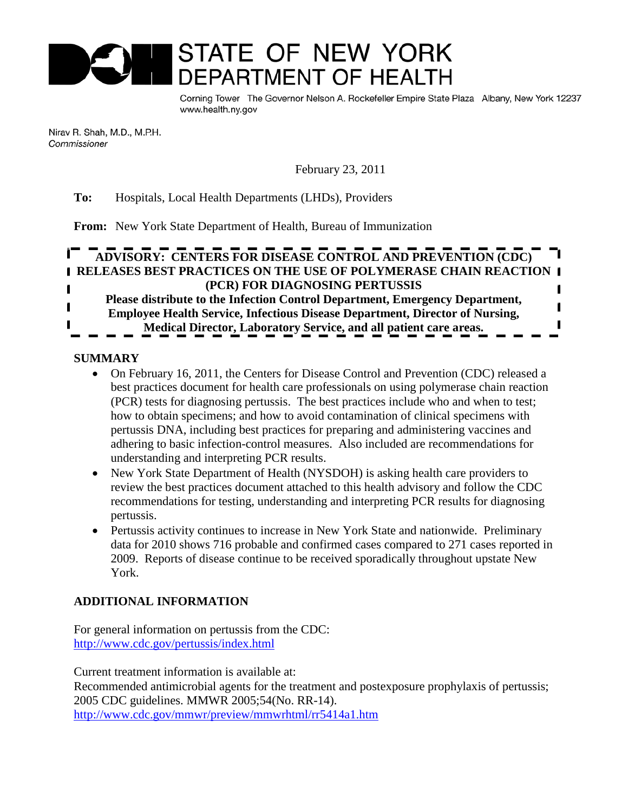

Corning Tower The Governor Nelson A. Rockefeller Empire State Plaza Albany, New York 12237 www.health.ny.gov

Nirav R. Shah, M.D., M.P.H. Commissioner

February 23, 2011

# **To:** Hospitals, Local Health Departments (LHDs), Providers

**From:** New York State Department of Health, Bureau of Immunization

# **ADVISORY: CENTERS FOR DISEASE CONTROL AND PREVENTION (CDC) RELEASES BEST PRACTICES ON THE USE OF POLYMERASE CHAIN REACTION (PCR) FOR DIAGNOSING PERTUSSIS Please distribute to the Infection Control Department, Emergency Department, Employee Health Service, Infectious Disease Department, Director of Nursing, Medical Director, Laboratory Service, and all patient care areas.**

# **SUMMARY**

- On February 16, 2011, the Centers for Disease Control and Prevention (CDC) released a best practices document for health care professionals on using polymerase chain reaction (PCR) tests for diagnosing pertussis. The best practices include who and when to test; how to obtain specimens; and how to avoid contamination of clinical specimens with pertussis DNA, including best practices for preparing and administering vaccines and adhering to basic infection-control measures. Also included are recommendations for understanding and interpreting PCR results.
- New York State Department of Health (NYSDOH) is asking health care providers to review the best practices document attached to this health advisory and follow the CDC recommendations for testing, understanding and interpreting PCR results for diagnosing pertussis.
- Pertussis activity continues to increase in New York State and nationwide. Preliminary data for 2010 shows 716 probable and confirmed cases compared to 271 cases reported in 2009. Reports of disease continue to be received sporadically throughout upstate New York.

# **ADDITIONAL INFORMATION**

For general information on pertussis from the CDC: <http://www.cdc.gov/pertussis/index.html>

Current treatment information is available at: Recommended antimicrobial agents for the treatment and postexposure prophylaxis of pertussis; 2005 CDC guidelines. MMWR 2005;54(No. RR-14). <http://www.cdc.gov/mmwr/preview/mmwrhtml/rr5414a1.htm>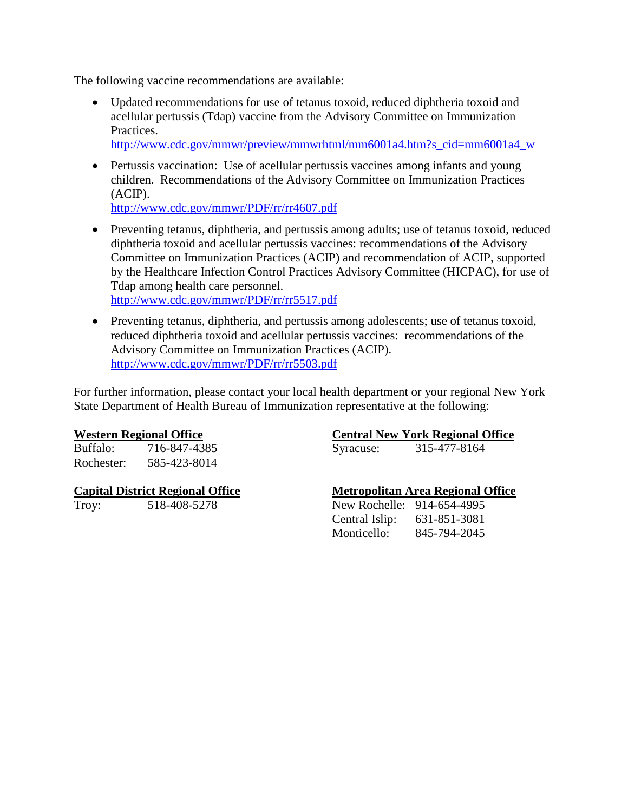The following vaccine recommendations are available:

• Updated recommendations for use of tetanus toxoid, reduced diphtheria toxoid and acellular pertussis (Tdap) vaccine from the Advisory Committee on Immunization Practices.

[http://www.cdc.gov/mmwr/preview/mmwrhtml/mm6001a4.htm?s\\_cid=mm6001a4\\_w](http://www.cdc.gov/mmwr/preview/mmwrhtml/mm6001a4.htm?s_cid=mm6001a4_w)

• Pertussis vaccination: Use of acellular pertussis vaccines among infants and young children. Recommendations of the Advisory Committee on Immunization Practices (ACIP).

<http://www.cdc.gov/mmwr/PDF/rr/rr4607.pdf>

- Preventing tetanus, diphtheria, and pertussis among adults; use of tetanus toxoid, reduced diphtheria toxoid and acellular pertussis vaccines: recommendations of the Advisory Committee on Immunization Practices (ACIP) and recommendation of ACIP, supported by the Healthcare Infection Control Practices Advisory Committee (HICPAC), for use of Tdap among health care personnel. <http://www.cdc.gov/mmwr/PDF/rr/rr5517.pdf>
- Preventing tetanus, diphtheria, and pertussis among adolescents; use of tetanus toxoid, reduced diphtheria toxoid and acellular pertussis vaccines: recommendations of the Advisory Committee on Immunization Practices (ACIP). <http://www.cdc.gov/mmwr/PDF/rr/rr5503.pdf>

For further information, please contact your local health department or your regional New York State Department of Health Bureau of Immunization representative at the following:

716-847-4385 Syracuse: Rochester: 585-423-8014

Troy: 518-408-5278

# **Western Regional Office**<br>Buffalo: 716-847-4385 **Central New York Regional Office**<br>Syracuse: 315-477-8164

# **Capital District Regional Office Metropolitan Area Regional Office**

| New Rochelle:  | 914-654-4995 |
|----------------|--------------|
| Central Islip: | 631-851-3081 |
| Monticello:    | 845-794-2045 |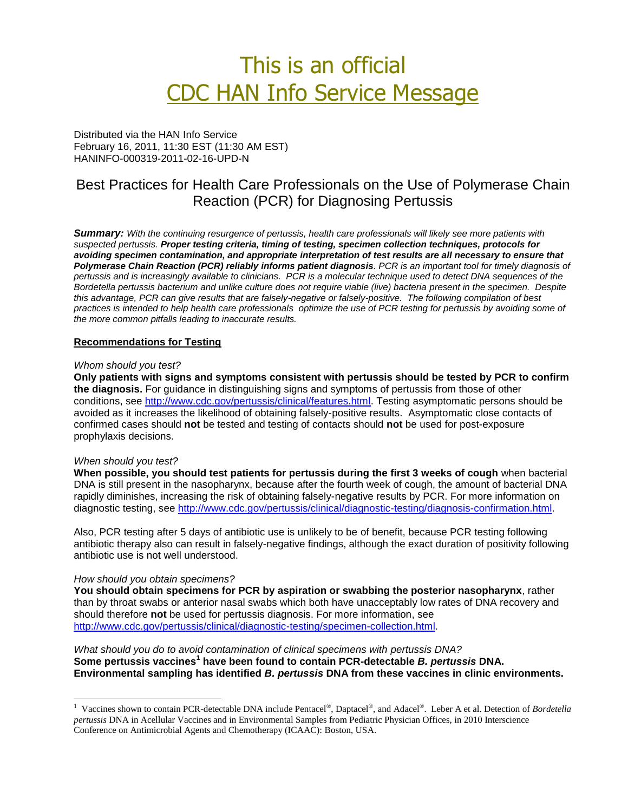# This is an official CDC HAN Info Service Message

Distributed via the HAN Info Service February 16, 2011, 11:30 EST (11:30 AM EST) HANINFO-000319-2011-02-16-UPD-N

# Best Practices for Health Care Professionals on the Use of Polymerase Chain Reaction (PCR) for Diagnosing Pertussis

*Summary: With the continuing resurgence of pertussis, health care professionals will likely see more patients with suspected pertussis. Proper testing criteria, timing of testing, specimen collection techniques, protocols for avoiding specimen contamination, and appropriate interpretation of test results are all necessary to ensure that Polymerase Chain Reaction (PCR) reliably informs patient diagnosis. PCR is an important tool for timely diagnosis of pertussis and is increasingly available to clinicians. PCR is a molecular technique used to detect DNA sequences of the Bordetella pertussis bacterium and unlike culture does not require viable (live) bacteria present in the specimen. Despite this advantage, PCR can give results that are falsely-negative or falsely-positive. The following compilation of best practices is intended to help health care professionals optimize the use of PCR testing for pertussis by avoiding some of the more common pitfalls leading to inaccurate results.*

# **Recommendations for Testing**

#### *Whom should you test?*

**Only patients with signs and symptoms consistent with pertussis should be tested by PCR to confirm the diagnosis.** For guidance in distinguishing signs and symptoms of pertussis from those of other conditions, see [http://www.cdc.gov/pertussis/clinical/features.html.](http://www.cdc.gov/pertussis/clinical/features.html) Testing asymptomatic persons should be avoided as it increases the likelihood of obtaining falsely-positive results. Asymptomatic close contacts of confirmed cases should **not** be tested and testing of contacts should **not** be used for post-exposure prophylaxis decisions.

### *When should you test?*

 $\overline{a}$ 

**When possible, you should test patients for pertussis during the first 3 weeks of cough** when bacterial DNA is still present in the nasopharynx, because after the fourth week of cough, the amount of bacterial DNA rapidly diminishes, increasing the risk of obtaining falsely-negative results by PCR. For more information on diagnostic testing, see [http://www.cdc.gov/pertussis/clinical/diagnostic-testing/diagnosis-confirmation.html.](http://www.cdc.gov/pertussis/clinical/diagnostic-testing/diagnosis-confirmation.html)

Also, PCR testing after 5 days of antibiotic use is unlikely to be of benefit, because PCR testing following antibiotic therapy also can result in falsely-negative findings, although the exact duration of positivity following antibiotic use is not well understood.

#### *How should you obtain specimens?*

**You should obtain specimens for PCR by aspiration or swabbing the posterior nasopharynx**, rather than by throat swabs or anterior nasal swabs which both have unacceptably low rates of DNA recovery and should therefore **not** be used for pertussis diagnosis. For more information, see [http://www.cdc.gov/pertussis/clinical/diagnostic-testing/specimen-collection.html.](http://www.cdc.gov/pertussis/clinical/diagnostic-testing/specimen-collection.html)

*What should you do to avoid contamination of clinical specimens with pertussis DNA?* **Some pertussis vaccines<sup>1</sup> have been found to contain PCR-detectable** *B. pertussis* **DNA. Environmental sampling has identified** *B. pertussis* **DNA from these vaccines in clinic environments.**

<sup>&</sup>lt;sup>1</sup> Vaccines shown to contain PCR-detectable DNA include Pentacel®, Daptacel®, and Adacel®. Leber A et al. Detection of *Bordetella pertussis* DNA in Acellular Vaccines and in Environmental Samples from Pediatric Physician Offices, in 2010 Interscience Conference on Antimicrobial Agents and Chemotherapy (ICAAC): Boston, USA.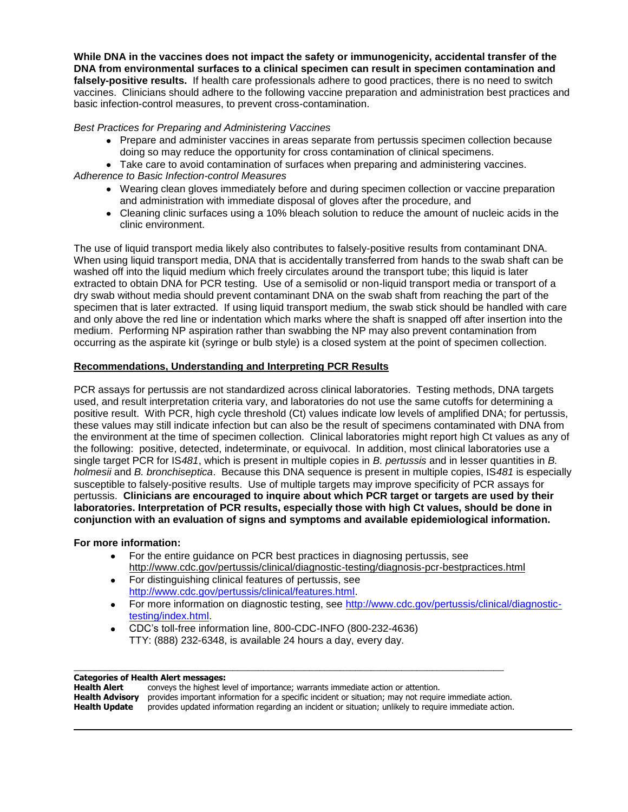**While DNA in the vaccines does not impact the safety or immunogenicity, accidental transfer of the DNA from environmental surfaces to a clinical specimen can result in specimen contamination and falsely-positive results.** If health care professionals adhere to good practices, there is no need to switch vaccines. Clinicians should adhere to the following vaccine preparation and administration best practices and basic infection-control measures, to prevent cross-contamination.

## *Best Practices for Preparing and Administering Vaccines*

Prepare and administer vaccines in areas separate from pertussis specimen collection because doing so may reduce the opportunity for cross contamination of clinical specimens.

Take care to avoid contamination of surfaces when preparing and administering vaccines. *Adherence to Basic Infection-control Measures*

- Wearing clean gloves immediately before and during specimen collection or vaccine preparation and administration with immediate disposal of gloves after the procedure, and
- Cleaning clinic surfaces using a 10% bleach solution to reduce the amount of nucleic acids in the clinic environment.

The use of liquid transport media likely also contributes to falsely-positive results from contaminant DNA. When using liquid transport media, DNA that is accidentally transferred from hands to the swab shaft can be washed off into the liquid medium which freely circulates around the transport tube; this liquid is later extracted to obtain DNA for PCR testing. Use of a semisolid or non-liquid transport media or transport of a dry swab without media should prevent contaminant DNA on the swab shaft from reaching the part of the specimen that is later extracted. If using liquid transport medium, the swab stick should be handled with care and only above the red line or indentation which marks where the shaft is snapped off after insertion into the medium. Performing NP aspiration rather than swabbing the NP may also prevent contamination from occurring as the aspirate kit (syringe or bulb style) is a closed system at the point of specimen collection.

## **Recommendations, Understanding and Interpreting PCR Results**

PCR assays for pertussis are not standardized across clinical laboratories. Testing methods, DNA targets used, and result interpretation criteria vary, and laboratories do not use the same cutoffs for determining a positive result. With PCR, high cycle threshold (Ct) values indicate low levels of amplified DNA; for pertussis, these values may still indicate infection but can also be the result of specimens contaminated with DNA from the environment at the time of specimen collection. Clinical laboratories might report high Ct values as any of the following: positive, detected, indeterminate, or equivocal. In addition, most clinical laboratories use a single target PCR for IS*481*, which is present in multiple copies in *B. pertussis* and in lesser quantities in *B. holmesii* and *B. bronchiseptica*. Because this DNA sequence is present in multiple copies, IS*481* is especially susceptible to falsely-positive results. Use of multiple targets may improve specificity of PCR assays for pertussis. **Clinicians are encouraged to inquire about which PCR target or targets are used by their laboratories. Interpretation of PCR results, especially those with high Ct values, should be done in conjunction with an evaluation of signs and symptoms and available epidemiological information.** 

### **For more information:**

- For the entire guidance on PCR best practices in diagnosing pertussis, see <http://www.cdc.gov/pertussis/clinical/diagnostic-testing/diagnosis-pcr-bestpractices.html>
- For distinguishing clinical features of pertussis, see [http://www.cdc.gov/pertussis/clinical/features.html.](http://www.cdc.gov/pertussis/clinical/features.html)
- For more information on diagnostic testing, see [http://www.cdc.gov/pertussis/clinical/diagnostic](http://www.cdc.gov/pertussis/clinical/diagnostic-testing/index.html)[testing/index.html.](http://www.cdc.gov/pertussis/clinical/diagnostic-testing/index.html)
- CDC's toll-free information line, 800-CDC-INFO (800-232-4636) TTY: (888) 232-6348, is available 24 hours a day, every day.

### **Categories of Health Alert messages:**

 $\overline{a}$ 

| Health Alert  | conveys the highest level of importance; warrants immediate action or attention.                                              |
|---------------|-------------------------------------------------------------------------------------------------------------------------------|
|               | <b>Health Advisory</b> provides important information for a specific incident or situation; may not require immediate action. |
| Health Update | provides updated information regarding an incident or situation; unlikely to require immediate action.                        |

\_\_\_\_\_\_\_\_\_\_\_\_\_\_\_\_\_\_\_\_\_\_\_\_\_\_\_\_\_\_\_\_\_\_\_\_\_\_\_\_\_\_\_\_\_\_\_\_\_\_\_\_\_\_\_\_\_\_\_\_\_\_\_\_\_\_\_\_\_\_\_\_\_\_\_\_\_\_\_\_\_\_\_\_